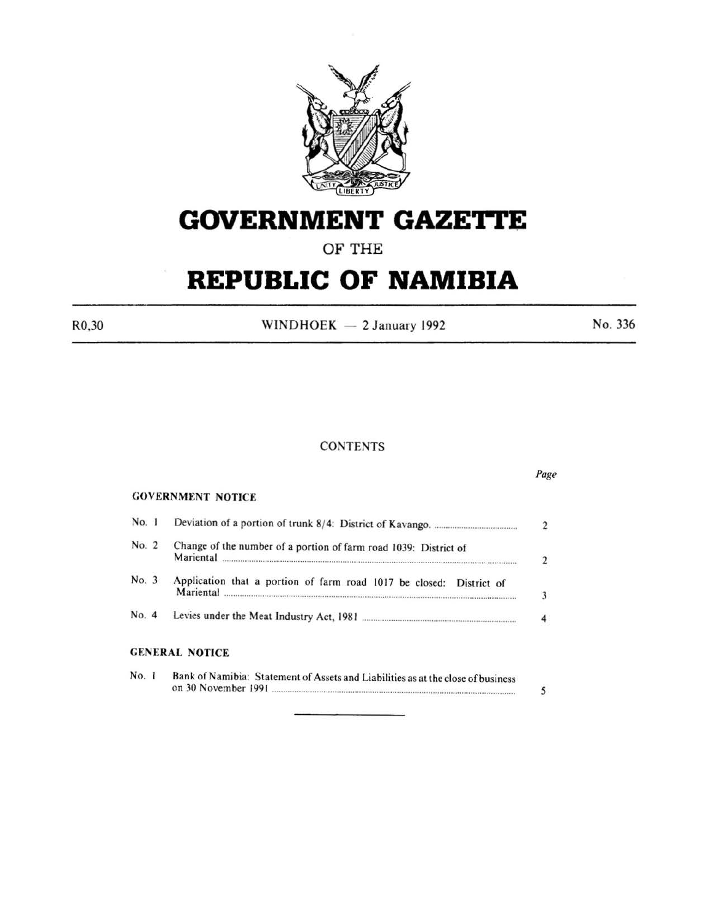

# **GOVERNMENT GAZETTE**

**OF THE** 

# **REPUBLIC OF NAMIBIA**

 $R0,30$  WINDHOEK - 2 January 1992 No. 336

# **CONTENTS**

|       |                                                                                                         | Page           |
|-------|---------------------------------------------------------------------------------------------------------|----------------|
|       | <b>GOVERNMENT NOTICE</b>                                                                                |                |
| No. 1 |                                                                                                         | $\overline{2}$ |
| No. 2 | Change of the number of a portion of farm road 1039: District of<br>Mariental                           | 2              |
| No. 3 | Application that a portion of farm road 1017 be closed: District of<br>Mariental                        | 3              |
| No. 4 |                                                                                                         |                |
|       | <b>GENERAL NOTICE</b>                                                                                   |                |
| No. 1 | Bank of Namibia: Statement of Assets and Liabilities as at the close of business<br>on 30 November 1991 |                |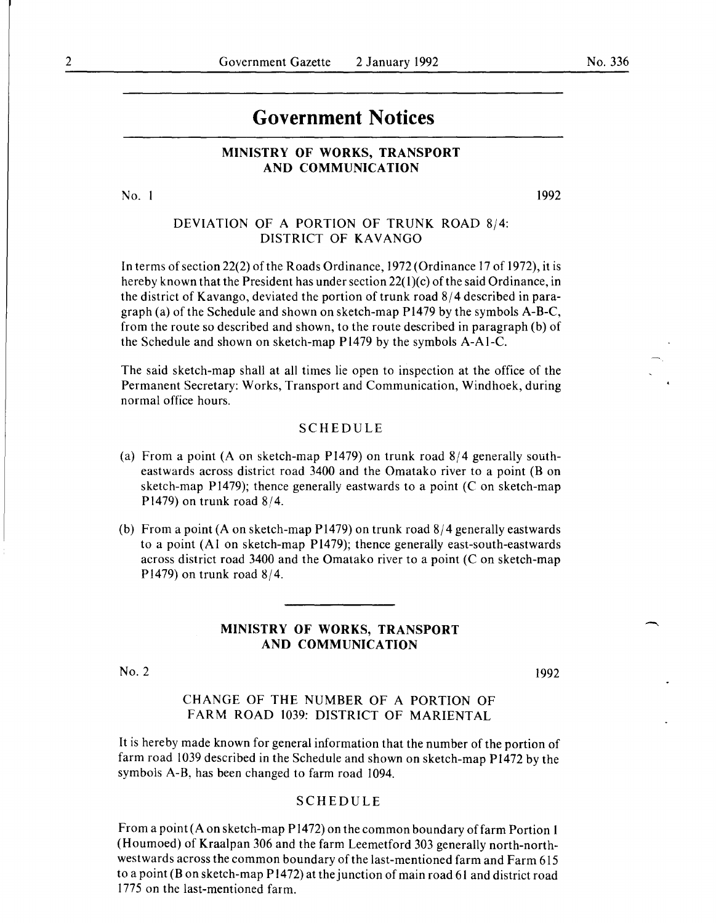# **Government Notices**

#### **MINISTRY OF WORKS, TRANSPORT AND COMMUNICATION**

No. I

1992

## DEVIATION OF A PORTION OF TRUNK ROAD 8/4: DISTRICT OF KAVANGO

In terms of section 22(2) of the Roads Ordinance, 1972 (Ordinance 17 of 1972), it is hereby known that the President has under section 22(1)(c) of the said Ordinance, in the district of Kavango, deviated the portion of trunk road  $8/4$  described in paragraph (a) of the Schedule and shown on sketch-map P1479 by the symbols A-B-C, from the route so described and shown, to the route described in paragraph (b) of the Schedule and shown on sketch-map Pl479 by the symbols A-Al-C.

The said sketch-map shall at all times lie open to inspection at the office of the Permanent Secretary: Works, Transport and Communication, Windhoek, during normal office hours.

#### SCHEDULE

- (a) From a point (A on sketch-map Pl479) on trunk road 8/4 generally southeastwards across district road 3400 and the Omatako river to a point (B on sketch-map P1479); thence generally eastwards to a point (C on sketch-map Pl479) on trunk road 8/4.
- (b) From a point (A on sketch-map P1479) on trunk road 8/4 generally eastwards to a point (Al on sketch-map P1479); thence generally east-south-eastwards across district road 3400 and the Omatako river to a point  $(C \text{ on sketch-map})$ P1479) on trunk road  $8/4$ .

#### **MINISTRY OF WORKS, TRANSPORT AND COMMUNICATION**

No.2

1992

CHANGE OF THE NUMBER OF A PORTION OF FARM ROAD 1039: DISTRICT OF MARIENTAL

It is hereby made known for general information that the number of the portion of farm road 1039 described in the Schedule and shown on sketch-map P1472 by the symbols A-B, has been changed to farm road 1094.

#### SCHEDULE

From a point (A on sketch-map Pl472) on the common boundary of farm Portion **1**  (Houmoed) of Kraalpan 306 and the farm Leemetford 303 generally north-northwestwards across the common boundary of the last-mentioned farm and Farm 615 to a point (Bon sketch-map P 1472) at the junction of main road 61 and district road 1775 on the last-mentioned farm.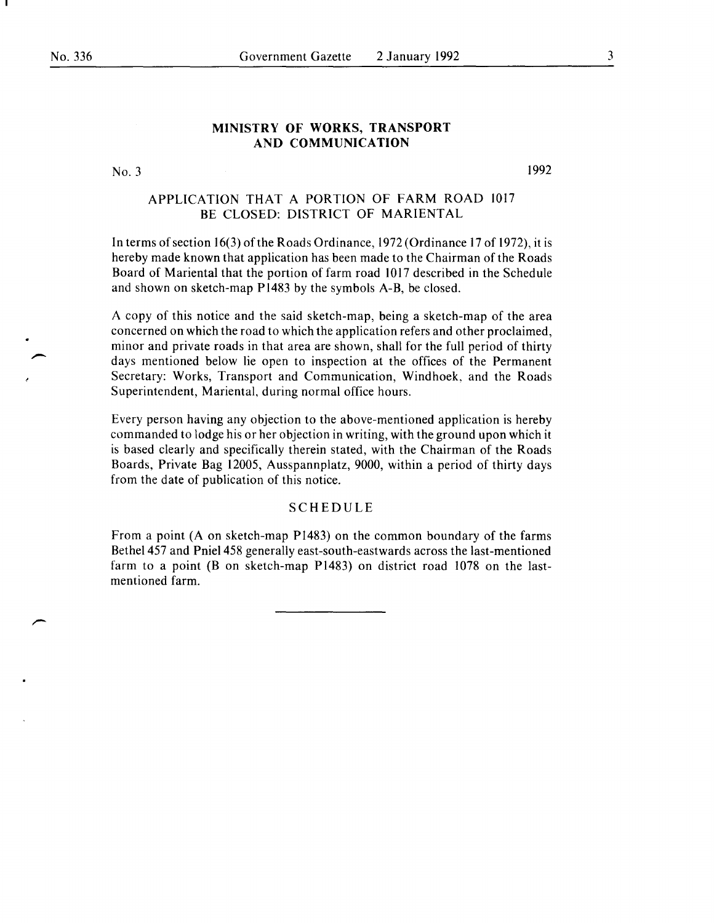#### **MINISTRY OF WORKS, TRANSPORT AND COMMUNICATION**

#### No.3

1992

### APPLICATION THAT A PORTION OF FARM ROAD 1017 BE CLOSED: DISTRICT OF MARIENTAL

In terms of section 16(3) of the Roads Ordinance, 1972 (Ordinance 17 of 1972), it is hereby made known that application has been made to the Chairman of the Roads Board of Mariental that the portion of farm road 1017 described in the Schedule and shown on sketch-map Pl483 by the symbols A-B, be closed.

A copy of this notice and the said sketch-map, being a sketch-map of the area concerned on which the road to which the application refers and other proclaimed, minor and private roads in that area are shown, shall for the full period of thirty days mentioned below lie open to inspection at the offices of the Permanent Secretary: Works, Transport and Communication, Windhoek, and the Roads Superintendent, Mariental, during normal office hours.

Every person having any objection to the above-mentioned application is hereby commanded to lodge his or her objection in writing, with the ground upon which it is based clearly and specifically therein stated, with the Chairman of the Roads Boards, Private Bag 12005, Ausspannplatz, 9000, within a period of thirty days from the date of publication of this notice.

#### **SCHEDULE**

From a point (A on sketch-map Pl483) on the common boundary of the farms Bethel 457 and Pniel 458 generally east-south-eastwards across the last-mentioned farm to a point **(B** on sketch-map Pl483) on district road 1078 on the lastmentioned farm.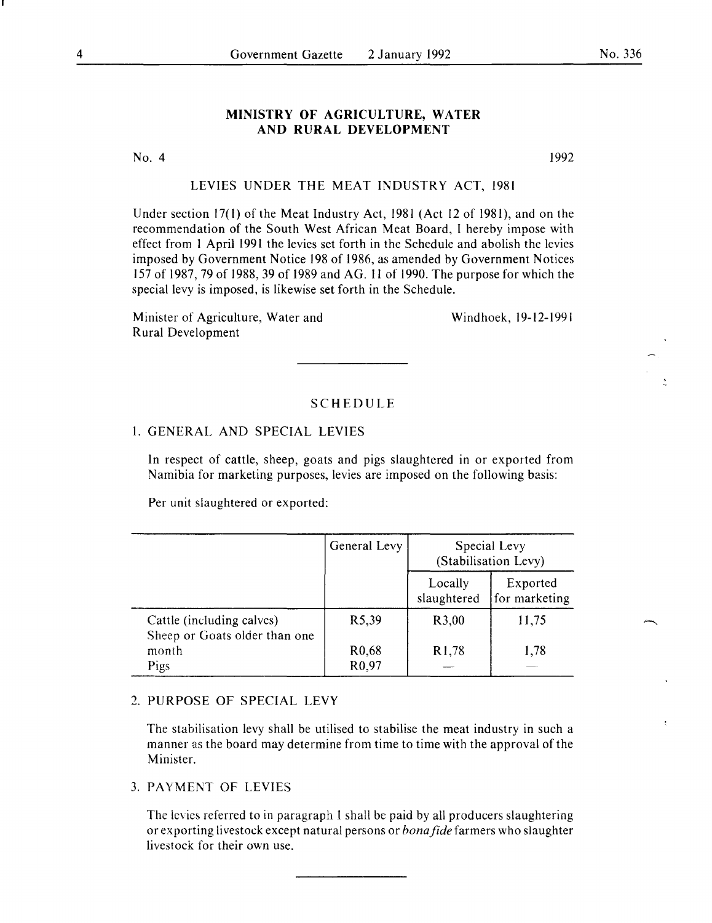#### **MINISTRY OF AGRICULTURE, WATER AND RURAL DEVELOPMENT**

No. 4

1992

#### LEVIES UNDER THE MEAT INDUSTRY ACT, 1981

Under section 17(1) of the Meat Industry Act, 1981 (Act 12 of 1981), and on the recommendation of the South West African Meat Board, I hereby impose with effect from I April 1991 the levies set forth in the Schedule and abolish the levies imposed by Government Notice 198 of 1986, as amended by Government Notices 157 of 1987,79 of 1988,39 of 1989 and AG. 11 of 1990. The purpose for which the special levy is imposed, is likewise set forth in the Schedule.

Minister of Agriculture, Water and Rural Development

Windhoek, 19-12-1991

#### SCHEDULE

## I. GENERAL AND SPECIAL LEVIES

In respect of cattle, sheep, goats and pigs slaughtered in or exported from Namibia for marketing purposes, levies are imposed on the following basis:

Per unit slaughtered or exported:

|                                                            | General Levy                             | Special Levy<br>(Stabilisation Levy) |                           |
|------------------------------------------------------------|------------------------------------------|--------------------------------------|---------------------------|
|                                                            |                                          | Locally<br>slaughtered               | Exported<br>for marketing |
| Cattle (including calves)<br>Sheep or Goats older than one | R5,39                                    | R3,00                                | 11,75                     |
| month<br>Pigs                                              | R <sub>0</sub> ,68<br>R <sub>0</sub> ,97 | R <sub>1</sub> ,78                   | 1,78                      |

#### 2. PURPOSE OF SPECIAL LEVY

The stabilisation levy shall be utilised to stabilise the meat industry in such a manner as the board may determine from time to time with the approval of the Minister.

#### 3. PAYMENT OF LEVIES

The levies referred to in paragraph l shall be paid by all producers slaughtering or exporting livestock except natural persons or *bonafide* farmers who slaughter livestock for their own use.

No. 336